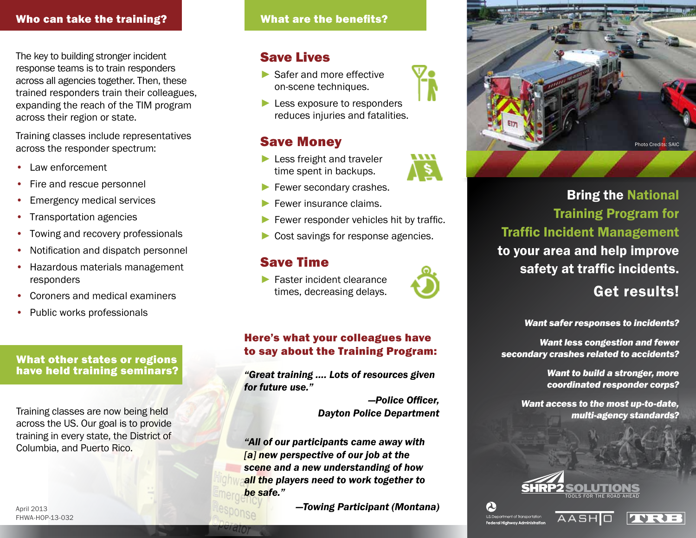## Who can take the training? What are the benefits?

The key to building stronger incident response teams is to train responders across all agencies together. Then, these trained responders train their colleagues, expanding the reach of the TIM program across their region or state.

Training classes include representatives across the responder spectrum:

- Law enforcement
- Fire and rescue personnel
- Emergency medical services
- Transportation agencies
- Towing and recovery professionals
- Notification and dispatch personnel
- Hazardous materials management responders
- Coroners and medical examiners
- Public works professionals

## What other states or regions have held training seminars?

Training classes are now being held across the US. Our goal is to provide training in every state, the District of Columbia, and Puerto Rico.

## Save Lives

- ▶ Safer and more effective on-scene techniques.
- ► Less exposure to responders reduces injuries and fatalities.

## Save Money

- ► Less freight and traveler time spent in backups.
- ► Fewer secondary crashes.
- ► Fewer insurance claims.
- ► Fewer responder vehicles hit by traffic.
- ► Cost savings for response agencies.

## Save Time

► Faster incident clearance times, decreasing delays.



*"Great training …. Lots of resources given for future use."* 

> *—Police Officer, Dayton Police Department*

*"All of our participants came away with [a] new perspective of our job at the scene and a new understanding of how all the players need to work together to be safe."* 

*—Towing Participant (Montana)*



# Bring the National Training Program for Traffic Incident Management to your area and help improve safety at traffic incidents.

# Get results!

*Want safer responses to incidents?*

*Want less congestion and fewer secondary crashes related to accidents?*

> *Want to build a stronger, more coordinated responder corps?*

*Want access to the most up-to-date, multi-agency standards?*



**AASHO** 

.<br>Federal Highway Administratio